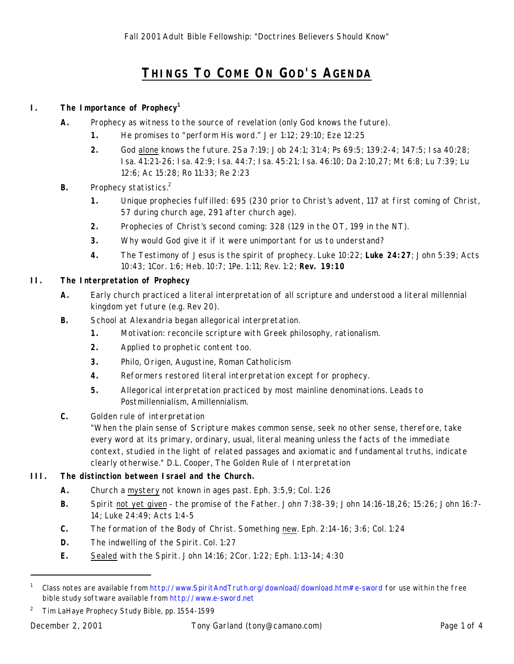# **THINGS TO COME ON GOD'S AGENDA**

#### **I. The Importance of Prophecy<sup>1</sup>**

- **A.** Prophecy as witness to the source of revelation (only God knows the future).
	- **1.** He promises to "perform His word." Jer 1:12; 29:10; Eze 12:25
	- **2.** God alone knows the future. 2Sa 7:19; Job 24:1; 31:4; Ps 69:5; 139:2-4; 147:5; Isa 40:28; Isa. 41:21-26; Isa. 42:9; Isa. 44:7; Isa. 45:21; Isa. 46:10; Da 2:10,27; Mt 6:8; Lu 7:39; Lu 12:6; Ac 15:28; Ro 11:33; Re 2:23
- **B.** Prophecy statistics.<sup>2</sup>
	- **1.** Unique prophecies fulfilled: 695 (230 prior to Christ's advent, 117 at first coming of Christ, 57 during church age, 291 after church age).
	- **2.** Prophecies of Christ's second coming: 328 (129 in the OT, 199 in the NT).
	- **3.** Why would God give it if it were unimportant for us to understand?
	- **4.** The Testimony of Jesus is the spirit of prophecy. Luke 10:22; **Luke 24:27**; John 5:39; Acts 10:43; 1Cor. 1:6; Heb. 10:7; 1Pe. 1:11; Rev. 1:2; **Rev. 19:10**

#### **II. The Interpretation of Prophecy**

- **A.** Early church practiced a literal interpretation of all scripture and understood a literal millennial kingdom yet future (e.g. Rev 20).
- **B.** School at Alexandria began allegorical interpretation.
	- **1.** Motivation: reconcile scripture with Greek philosophy, rationalism.
	- **2.** Applied to prophetic content too.
	- **3.** Philo, Origen, Augustine, Roman Catholicism
	- **4.** Reformers restored literal interpretation *except* for prophecy.
	- **5.** Allegorical interpretation practiced by *most* mainline denominations. Leads to Postmillennialism, Amillennialism.
- **C.** Golden rule of interpretation
	- "When the plain sense of Scripture makes common sense, seek no other sense, therefore, take every word at its primary, ordinary, usual, literal meaning unless the facts of the immediate context, studied in the light of related passages and axiomatic and fundamental truths, indicate clearly otherwise." D.L. Cooper, *The Golden Rule of Interpretation*

#### **III. The distinction between Israel and the Church.**

- **A.** Church a mystery not known in ages past. Eph. 3:5,9; Col. 1:26
- **B.** Spirit not yet given the promise of the Father. John 7:38-39; John 14:16-18,26; 15:26; John 16:7- 14; Luke 24:49; Acts 1:4-5
- **C.** The formation of the Body of Christ. Something new. Eph. 2:14-16; 3:6; Col. 1:24
- **D.** The indwelling of the Spirit. Col. 1:27
- **E.** Sealed with the Spirit. John 14:16; 2Cor. 1:22; Eph. 1:13-14; 4:30

-

<sup>1</sup> Class notes are available from http://www.SpiritAndTruth.org/download/download.htm#e-sword for use within the free bible study software available from http://www.e-sword.net

<sup>2</sup> *Tim LaHaye Prophecy Study Bible*, pp. 1554-1599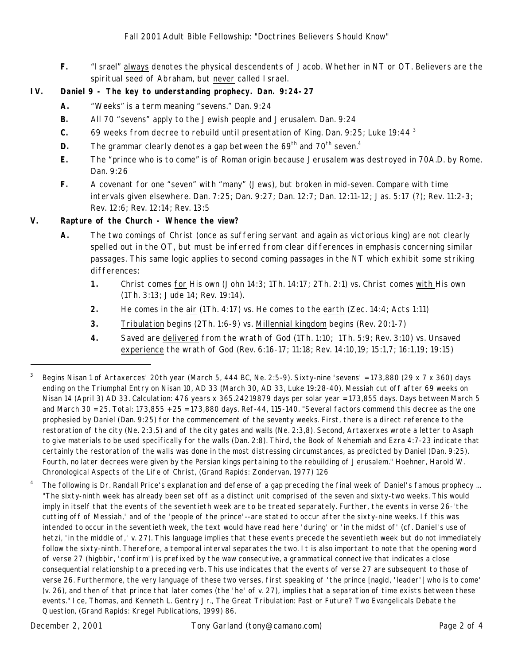**F.** "Israel" always denotes the physical descendents of Jacob. Whether in NT or OT. Believers are the spiritual seed of Abraham, but never called Israel.

### **IV. Daniel 9 - The key to understanding prophecy. Dan. 9:24-27**

- **A.** "Weeks" is a term meaning "sevens." Dan. 9:24
- **B.** All 70 "sevens" apply to the Jewish people and Jerusalem. Dan. 9:24
- **C.** 69 weeks from decree to rebuild until presentation of King. Dan. 9:25; Luke 19:44 <sup>3</sup>
- **D.** The grammar clearly denotes a gap between the 69<sup>th</sup> and 70<sup>th</sup> seven.<sup>4</sup>
- **E.** The "prince who is to come" is of Roman origin because Jerusalem was destroyed in 70A.D. by Rome. Dan. 9:26
- **F.** A covenant for one "seven" with "many" (Jews), but broken in mid-seven. Compare with time intervals given elsewhere. Dan. 7:25; Dan. 9:27; Dan. 12:7; Dan. 12:11-12; Jas. 5:17 (?); Rev. 11:2-3; Rev. 12:6; Rev. 12:14; Rev. 13:5

#### **V. Rapture of the Church - Whence the view?**

- **A.** The two comings of Christ (once as suffering servant and again as victorious king) are not clearly spelled out in the OT, but must be *inferred from clear differences in emphasis concerning similar passages.* This same logic applies to second coming passages in the NT which exhibit some striking differences:
	- **1.** Christ comes for His own (John 14:3; 1Th. 14:17; 2Th. 2:1) vs. Christ comes with His own (1Th. 3:13; Jude 14; Rev. 19:14).
	- **2.** He comes in the air (1Th. 4:17) vs. He comes to the earth (Zec. 14:4; Acts 1:11)
	- **3.** Tribulation begins (2Th. 1:6-9) vs. Millennial kingdom begins (Rev. 20:1-7)
	- **4.** Saved are delivered from the wrath of God (1Th. 1:10; 1Th. 5:9; Rev. 3:10) vs. Unsaved experience the wrath of God (Rev. 6:16-17; 11:18; Rev. 14:10,19; 15:1,7; 16:1,19; 19:15)

<sup>4</sup> The following is Dr. Randall Price's explanation and defense of a gap preceding the final week of Daniel's famous prophecy ... "The sixty-ninth week has already been set off as a distinct unit comprised of the seven and sixty-two weeks. This would imply in itself that the events of the seventieth week are to be treated separately. Further, the events in verse 26-'the cutting off of Messiah,' and of the 'people of the prince'--are stated to occur *after* the sixty-nine weeks. If this was intended to occur *in* the seventieth week, the text would have read here 'during' or 'in the midst of' (cf. Daniel's use of *hetzi*, 'in the middle of,' v. 27). This language implies that these events *precede* the seventieth week but do not *immediately* follow the sixty-ninth. Therefore, a temporal interval separates the two. It is also important to note that the opening word of verse 27 (*higbbir*, 'confirm') is prefixed by the *waw* consecutive, a grammatical connective that indicates a close consequential relationship to a preceding verb. This use indicates that the events of verse 27 are *subsequent* to those of verse 26. Furthermore, the very language of these two verses, first speaking of 'the prince [*nagid*, 'leader'] who is to come' (v. 26), and then of that prince that later comes (the 'he' of v. 27), implies that a separation of time exists between these events." Ice, Thomas, and Kenneth L. Gentry Jr., *The Great Tribulation: Past or Future? Two Evangelicals Debate the Question*, (Grand Rapids: Kregel Publications, 1999) 86.

-

<sup>&</sup>lt;sup>3</sup> Begins Nisan 1 of Artaxerces' 20th year (March 5, 444 BC, Ne. 2:5-9). Sixty-nine 'sevens' = 173,880 (29 x 7 x 360) days ending on the Triumphal Entry on Nisan 10, AD 33 (March 30, AD 33, Luke 19:28-40). Messiah cut off after 69 weeks on Nisan 14 (April 3) AD 33. Calculation: 476 years x 365.24219879 days per solar year = 173,855 days. Days between March 5 and March 30 = 25. Total: 173,855 + 25 = 173,880 days. Ref-44, 115-140. "Several factors commend this decree as the one prophesied by Daniel (Dan. 9:25) for the commencement of the seventy weeks. First, there is a direct reference to the restoration of the city (Ne. 2:3,5) and of the city gates and walls (Ne. 2:3,8). Second, Artaxerxes wrote a letter to Asaph to give materials to be used specifically for the walls (Dan. 2:8). Third, the Book of Nehemiah and Ezra 4:7-23 indicate that certainly the restoration of the walls was done in the most distressing circumstances, as predicted by Daniel (Dan. 9:25). Fourth, no later decrees were given by the Persian kings pertaining to the rebuilding of Jerusalem." Hoehner, Harold W. *Chronological Aspects of the Life of Christ*, (Grand Rapids: Zondervan, 1977) 126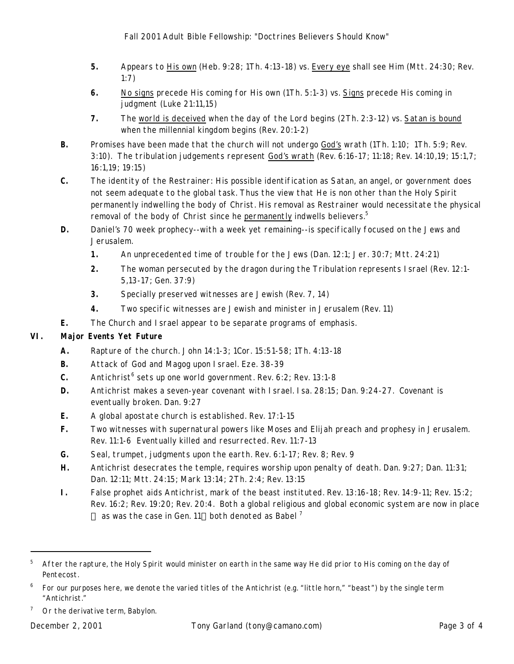- **5.** Appears to His own (Heb. 9:28; 1Th. 4:13-18) vs. Every eye shall see Him (Mtt. 24:30; Rev. 1:7)
- **6.** No signs precede His coming for His own (1Th. 5:1-3) vs. Signs precede His coming in judgment (Luke 21:11,15)
- **7.** The world is deceived when the day of the Lord begins (2Th. 2:3-12) vs. Satan is bound when the millennial kingdom begins (Rev. 20:1-2)
- **B.** Promises have been made that the church will not undergo God's wrath (1Th. 1:10; 1Th. 5:9; Rev. 3:10). The tribulation judgements represent God's wrath (Rev. 6:16-17; 11:18; Rev. 14:10,19; 15:1,7; 16:1,19; 19:15)
- **C.** The identity of the Restrainer: His possible identification as Satan, an angel, or government does not seem adequate to the global task. Thus the view that He is non other than the Holy Spirit permanently indwelling the body of Christ. His removal as Restrainer would necessitate the physical removal of the body of Christ since he permanently indwells believers.<sup>5</sup>
- **D.** Daniel's 70 week prophecy--with a week yet remaining--is specifically focused on the Jews and Jerusalem.
	- **1.** An unprecedented time of trouble for the Jews (Dan. 12:1; Jer. 30:7; Mtt. 24:21)
	- **2.** The woman persecuted by the dragon during the Tribulation represents Israel (Rev. 12:1- 5,13-17; Gen. 37:9)
	- **3.** Specially preserved witnesses are Jewish (Rev. 7, 14)
	- **4.** Two specific witnesses are Jewish and minister in Jerusalem (Rev. 11)
- **E.** The Church and Israel appear to be separate programs of emphasis.

## **VI. Major Events Yet Future**

- **A.** Rapture of the church. John 14:1-3; 1Cor. 15:51-58; 1Th. 4:13-18
- **B.** Attack of God and Magog upon Israel. Eze. 38-39
- C. Antichrist<sup>6</sup> sets up one world government. Rev. 6:2; Rev. 13:1-8
- **D.** Antichrist makes a seven-year covenant with Israel. Isa. 28:15; Dan. 9:24-27. Covenant is eventually broken. Dan. 9:27
- **E.** A global apostate church is established. Rev. 17:1-15
- **F.** Two witnesses with supernatural powers like Moses and Elijah preach and prophesy in Jerusalem. Rev. 11:1-6 Eventually killed and resurrected. Rev. 11:7-13
- **G.** Seal, trumpet, judgments upon the earth. Rev. 6:1-17; Rev. 8; Rev. 9
- **H.** Antichrist desecrates the temple, requires worship upon penalty of death. Dan. 9:27; Dan. 11:31; Dan. 12:11; Mtt. 24:15; Mark 13:14; 2Th. 2:4; Rev. 13:15
- **I.** False prophet aids Antichrist, mark of the beast instituted. Rev. 13:16-18; Rev. 14:9-11; Rev. 15:2; Rev. 16:2; Rev. 19:20; Rev. 20:4. Both a global religious and global economic system are now in place  $-$  as was the case in Gen. 11-both denoted as *Babel*<sup>7</sup>

-

<sup>5</sup> After the rapture, the Holy Spirit would minister on earth *in the same way He did prior to His coming* on the day of Pentecost.

 $^6$  For our purposes here, we denote the varied titles of the Antichrist (e.g. "little horn," "beast") by the single term "Antichrist."

<sup>7</sup> Or the derivative term, *Babylon*.